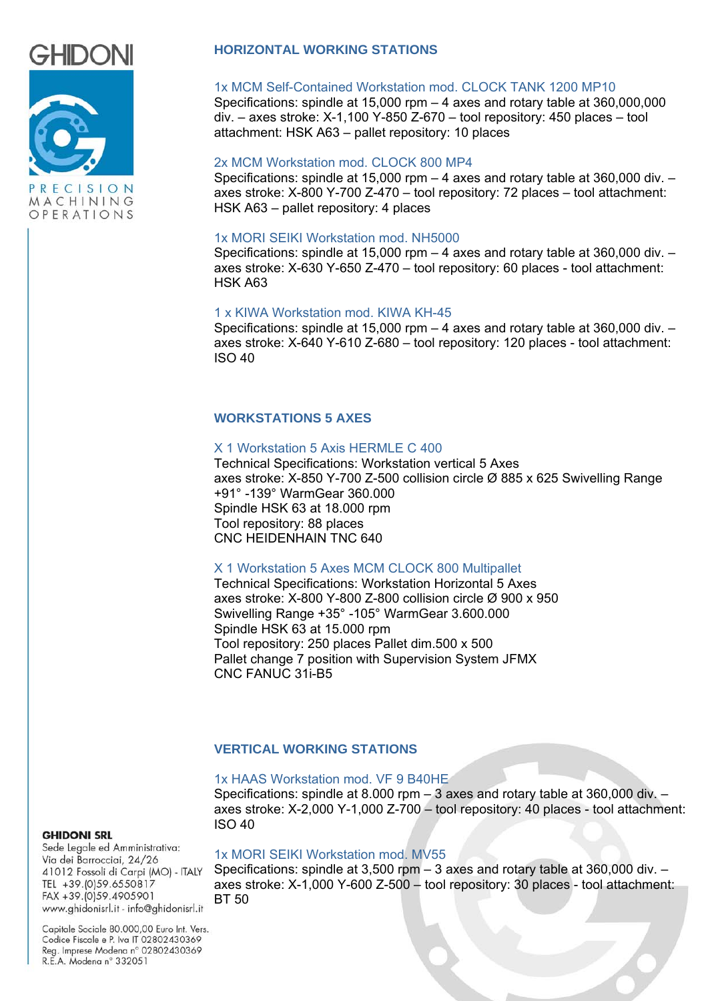



# **HORIZONTAL WORKING STATIONS**

### 1x MCM Self-Contained Workstation mod. CLOCK TANK 1200 MP10

Specifications: spindle at  $15,000$  rpm  $-4$  axes and rotary table at  $360,000,000$ div. – axes stroke: X-1,100 Y-850 Z-670 – tool repository: 450 places – tool attachment: HSK A63 – pallet repository: 10 places

### 2x MCM Workstation mod. CLOCK 800 MP4

Specifications: spindle at 15,000 rpm  $-4$  axes and rotary table at 360,000 div.  $$ axes stroke: X-800 Y-700 Z-470 – tool repository: 72 places – tool attachment: HSK A63 – pallet repository: 4 places

### 1x MORI SEIKI Workstation mod. NH5000

Specifications: spindle at 15,000 rpm – 4 axes and rotary table at 360,000 div. – axes stroke: X-630 Y-650 Z-470 – tool repository: 60 places - tool attachment: HSK A63

### 1 x KIWA Workstation mod. KIWA KH-45

Specifications: spindle at 15,000 rpm – 4 axes and rotary table at 360,000 div. – axes stroke: X-640 Y-610 Z-680 – tool repository: 120 places - tool attachment: ISO 40

## **WORKSTATIONS 5 AXES**

### X 1 Workstation 5 Axis HERMLE C 400

Technical Specifications: Workstation vertical 5 Axes axes stroke: X-850 Y-700 Z-500 collision circle Ø 885 x 625 Swivelling Range +91° -139° WarmGear 360.000 Spindle HSK 63 at 18.000 rpm Tool repository: 88 places CNC HEIDENHAIN TNC 640

### X 1 Workstation 5 Axes MCM CLOCK 800 Multipallet

Technical Specifications: Workstation Horizontal 5 Axes axes stroke: X-800 Y-800 Z-800 collision circle Ø 900 x 950 Swivelling Range +35° -105° WarmGear 3.600.000 Spindle HSK 63 at 15.000 rpm Tool repository: 250 places Pallet dim.500 x 500 Pallet change 7 position with Supervision System JFMX CNC FANUC 31i-B5

# **VERTICAL WORKING STATIONS**

### 1x HAAS Workstation mod. VF 9 B40HE

Specifications: spindle at 8.000 rpm – 3 axes and rotary table at 360,000 div. – axes stroke: X-2,000 Y-1,000 Z-700 – tool repository: 40 places - tool attachment: ISO 40

### **GHIDONI SRL**

Sede Legale ed Amministrativa: Via dei Barrocciai, 24/26 41012 Fossoli di Carpi (MO) - ITALY TEL +39.(0)59.6550817 FAX +39.(0)59.4905901 www.ghidonisrl.it - info@ghidonisrl.it

### 1x MORI SEIKI Workstation mod. MV55

Specifications: spindle at  $3.500$  rpm  $-3$  axes and rotary table at  $360.000$  div.  $$ axes stroke: X-1,000 Y-600 Z-500 – tool repository: 30 places - tool attachment: BT 50

Capitale Sociale 80.000,00 Euro Int. Vers. Codice Fiscale e P. Iva IT 02802430369 Reg. Imprese Modena nº 02802430369 R.E.A. Modena nº 332051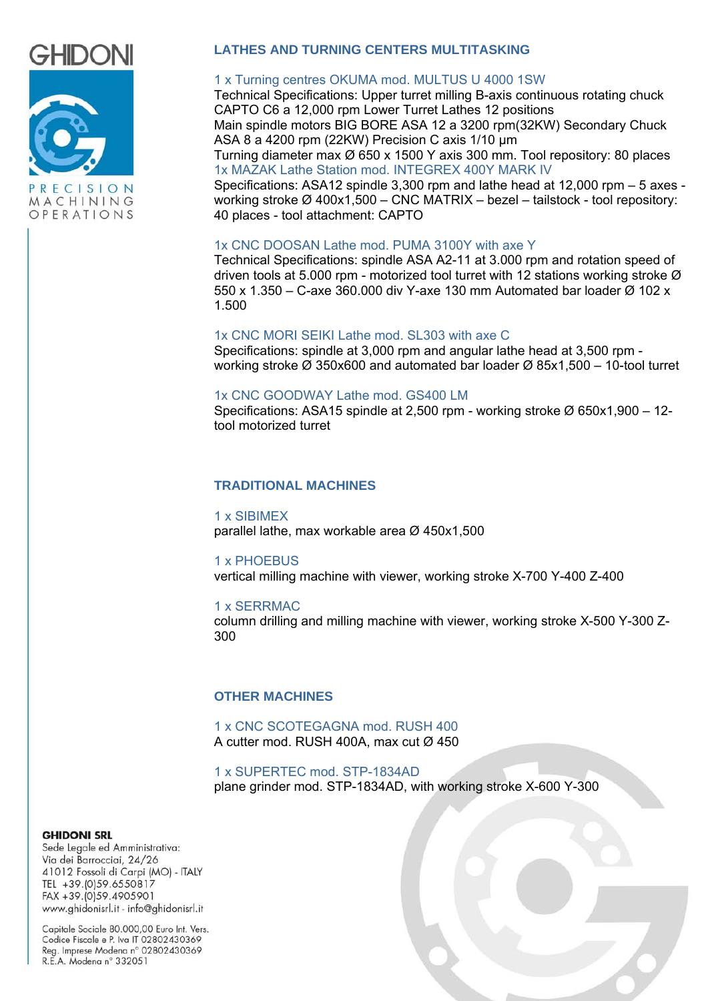



# **LATHES AND TURNING CENTERS MULTITASKING**

### 1 x Turning centres OKUMA mod. MULTUS U 4000 1SW

Technical Specifications: Upper turret milling B-axis continuous rotating chuck CAPTO C6 a 12,000 rpm Lower Turret Lathes 12 positions Main spindle motors BIG BORE ASA 12 a 3200 rpm(32KW) Secondary Chuck ASA 8 a 4200 rpm (22KW) Precision C axis 1/10 μm

Turning diameter max Ø 650 x 1500 Y axis 300 mm. Tool repository: 80 places 1x MAZAK Lathe Station mod. INTEGREX 400Y MARK IV

Specifications: ASA12 spindle 3,300 rpm and lathe head at 12,000 rpm – 5 axes working stroke Ø 400x1,500 – CNC MATRIX – bezel – tailstock - tool repository: 40 places - tool attachment: CAPTO

### 1x CNC DOOSAN Lathe mod. PUMA 3100Y with axe Y

Technical Specifications: spindle ASA A2-11 at 3.000 rpm and rotation speed of driven tools at 5.000 rpm - motorized tool turret with 12 stations working stroke Ø 550 x 1.350 – C-axe 360.000 div Y-axe 130 mm Automated bar loader Ø 102 x 1.500

## 1x CNC MORI SEIKI Lathe mod. SL303 with axe C

Specifications: spindle at 3,000 rpm and angular lathe head at 3,500 rpm working stroke Ø 350x600 and automated bar loader Ø 85x1,500 – 10-tool turret

#### 1x CNC GOODWAY Lathe mod. GS400 LM

Specifications: ASA15 spindle at 2,500 rpm - working stroke Ø 650x1,900 – 12 tool motorized turret

### **TRADITIONAL MACHINES**

1 x SIBIMEX parallel lathe, max workable area Ø 450x1,500

1 x PHOEBUS

vertical milling machine with viewer, working stroke X-700 Y-400 Z-400

### 1 x SERRMAC

column drilling and milling machine with viewer, working stroke X-500 Y-300 Z-300

### **OTHER MACHINES**

1 x CNC SCOTEGAGNA mod. RUSH 400 A cutter mod. RUSH 400A, max cut Ø 450

1 x SUPERTEC mod. STP-1834AD plane grinder mod. STP-1834AD, with working stroke X-600 Y-300

#### **GHIDONI SRL**

Sede Legale ed Amministrativa: Via dei Barrocciai, 24/26 41012 Fossoli di Carpi (MO) - ITALY TEL +39.(0)59.6550817 FAX +39. (0) 59.4905901 www.ghidonisrl.it - info@ghidonisrl.it

Capitale Sociale 80.000,00 Euro Int. Vers. Codice Fiscale e P. Iva IT 02802430369 Reg. Imprese Modena nº 02802430369 R.E.A. Modena nº 332051